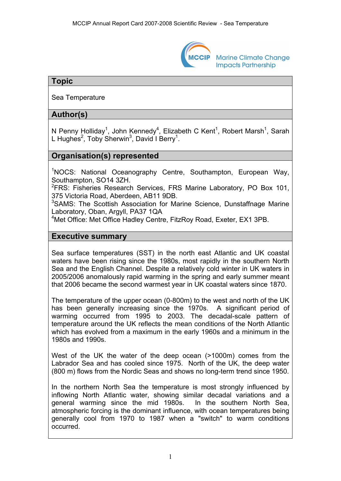

**Marine Climate Change Impacts Partnership** 

# **Topic**

Sea Temperature

# **Author(s)**

N Penny Holliday<sup>1</sup>, John Kennedy<sup>4</sup>, Elizabeth C Kent<sup>1</sup>, Robert Marsh<sup>1</sup>, Sarah L Hughes<sup>2</sup>, Toby Sherwin<sup>3</sup>, David I Berry<sup>1</sup>.

## **Organisation(s) represented**

<sup>1</sup>NOCS: National Oceanography Centre, Southampton, European Way, Southampton, SO14 3ZH.

<sup>2</sup> FRS: Fisheries Research Services, FRS Marine Laboratory, PO Box 101, 375 Victoria Road, Aberdeen, AB11 9DB.

<sup>3</sup>SAMS: The Scottish Association for Marine Science, Dunstaffnage Marine Laboratory, Oban, Argyll, PA37 1QA

4 Met Office: Met Office Hadley Centre, FitzRoy Road, Exeter, EX1 3PB.

#### **Executive summary**

Sea surface temperatures (SST) in the north east Atlantic and UK coastal waters have been rising since the 1980s, most rapidly in the southern North Sea and the English Channel. Despite a relatively cold winter in UK waters in 2005/2006 anomalously rapid warming in the spring and early summer meant that 2006 became the second warmest year in UK coastal waters since 1870.

The temperature of the upper ocean (0-800m) to the west and north of the UK has been generally increasing since the 1970s. A significant period of warming occurred from 1995 to 2003. The decadal-scale pattern of temperature around the UK reflects the mean conditions of the North Atlantic which has evolved from a maximum in the early 1960s and a minimum in the 1980s and 1990s.

West of the UK the water of the deep ocean (>1000m) comes from the Labrador Sea and has cooled since 1975. North of the UK, the deep water (800 m) flows from the Nordic Seas and shows no long-term trend since 1950.

In the northern North Sea the temperature is most strongly influenced by inflowing North Atlantic water, showing similar decadal variations and a general warming since the mid 1980s. In the southern North Sea, atmospheric forcing is the dominant influence, with ocean temperatures being generally cool from 1970 to 1987 when a "switch" to warm conditions occurred.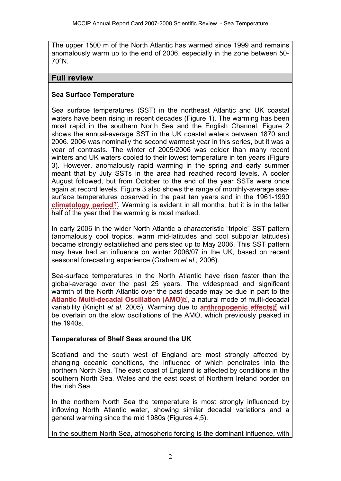The upper 1500 m of the North Atlantic has warmed since 1999 and remains anomalously warm up to the end of 2006, especially in the zone between 50- 70°N.

#### **Full review**

## **Sea Surface Temperature**

Sea surface temperatures (SST) in the northeast Atlantic and UK coastal waters have been rising in recent decades (Figure 1). The warming has been most rapid in the southern North Sea and the English Channel. Figure 2 shows the annual-average SST in the UK coastal waters between 1870 and 2006. 2006 was nominally the second warmest year in this series, but it was a year of contrasts. The winter of 2005/2006 was colder than many recent winters and UK waters cooled to their lowest temperature in ten years (Figure 3). However, anomalously rapid warming in the spring and early summer meant that by July SSTs in the area had reached record levels. A cooler August followed, but from October to the end of the year SSTs were once again at record levels. Figure 3 also shows the range of monthly-average seasurface temperatur[es](http://www.mccip.org.uk/arc/2007/glossary.htm) observed in the past ten years and in the 1961-1990 **[climatology period](http://www.mccip.org.uk/arc/2007/glossary.htm#climatology)**<sup>2</sup>. Warming is evident in all months, but it is in the latter half of the year that the warming is most marked.

In early 2006 in the wider North Atlantic a characteristic "tripole" SST pattern (anomalously cool tropics, warm mid-latitudes and cool subpolar latitudes) became strongly established and persisted up to May 2006. This SST pattern may have had an influence on winter 2006/07 in the UK, based on recent seasonal forecasting experience (Graham *et al.,* 2006).

Sea-surface temperatures in the North Atlantic have risen faster than the global-average over the past 25 years. The widespread and significant warmth of the North Atlantic over the pas[t de](http://www.mccip.org.uk/arc/2007/glossary.htm)cade may be due in part to the [Atlantic Multi-decadal Oscillation \(AMO\)](http://www.mccip.org.uk/arc/2007/glossary.htm#AMO)<sup>[7]</sup>, a natural mode of multi-d[eca](http://www.mccip.org.uk/arc/2007/glossary.htm)dal variability (Knight *et al.* 2005). Warming due to **[anthropogenic effects](http://www.mccip.org.uk/arc/2007/glossary.htm#Anthropogenic)** will be overlain on the slow oscillations of the AMO, which previously peaked in the 1940s.

### **Temperatures of Shelf Seas around the UK**

Scotland and the south west of England are most strongly affected by changing oceanic conditions, the influence of which penetrates into the northern North Sea. The east coast of England is affected by conditions in the southern North Sea. Wales and the east coast of Northern Ireland border on the Irish Sea.

In the northern North Sea the temperature is most strongly influenced by inflowing North Atlantic water, showing similar decadal variations and a general warming since the mid 1980s (Figures 4,5).

In the southern North Sea, atmospheric forcing is the dominant influence, with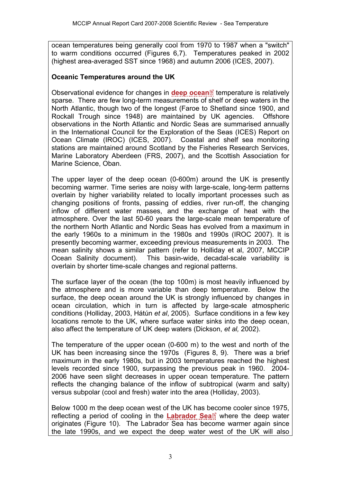ocean temperatures being generally cool from 1970 to 1987 when a "switch" to warm conditions occurred (Figures 6,7). Temperatures peaked in 2002 (highest area-averaged SST since 1968) and autumn 2006 (ICES, 2007).

#### **Oceanic Temperatures around the UK**

Observational evidence for changes in **[deep ocean](http://www.mccip.org.uk/arc/2007/glossary.htm#Deep_ocean)**<sup>*d*</sup> temperature is relatively sparse. There are few long-term measurements of shelf or deep waters in the North Atlantic, though two of the longest (Faroe to Shetland since 1900, and Rockall Trough since 1948) are maintained by UK agencies. Offshore observations in the North Atlantic and Nordic Seas are summarised annually in the International Council for the Exploration of the Seas (ICES) Report on Ocean Climate (IROC) (ICES, 2007). Coastal and shelf sea monitoring stations are maintained around Scotland by the Fisheries Research Services, Marine Laboratory Aberdeen (FRS, 2007), and the Scottish Association for Marine Science, Oban.

The upper layer of the deep ocean (0-600m) around the UK is presently becoming warmer. Time series are noisy with large-scale, long-term patterns overlain by higher variability related to locally important processes such as changing positions of fronts, passing of eddies, river run-off, the changing inflow of different water masses, and the exchange of heat with the atmosphere. Over the last 50-60 years the large-scale mean temperature of the northern North Atlantic and Nordic Seas has evolved from a maximum in the early 1960s to a minimum in the 1980s and 1990s (IROC 2007). It is presently becoming warmer, exceeding previous measurements in 2003. The mean salinity shows a similar pattern (refer to Holliday et al, 2007, MCCIP Ocean Salinity document). This basin-wide, decadal-scale variability is overlain by shorter time-scale changes and regional patterns.

The surface layer of the ocean (the top 100m) is most heavily influenced by the atmosphere and is more variable than deep temperature. Below the surface, the deep ocean around the UK is strongly influenced by changes in ocean circulation, which in turn is affected by large-scale atmospheric conditions (Holliday, 2003, Hátún *et al*, 2005). Surface conditions in a few key locations remote to the UK, where surface water sinks into the deep ocean, also affect the temperature of UK deep waters (Dickson, *et al,* 2002).

The temperature of the upper ocean (0-600 m) to the west and north of the UK has been increasing since the 1970s (Figures 8, 9). There was a brief maximum in the early 1980s, but in 2003 temperatures reached the highest levels recorded since 1900, surpassing the previous peak in 1960. 2004- 2006 have seen slight decreases in upper ocean temperature. The pattern reflects the changing balance of the inflow of subtropical (warm and salty) versus subpolar (cool and fresh) water into the area (Holliday, 2003).

Below 1000 m the deep ocean west of the UK has [beco](http://www.mccip.org.uk/arc/2007/glossary.htm)me cooler since 1975, reflecting a period of cooling in the **[Labrador Sea](http://www.mccip.org.uk/arc/2007/glossary.htm#Labrador)** where the deep water originates (Figure 10). The Labrador Sea has become warmer again since the late 1990s, and we expect the deep water west of the UK will also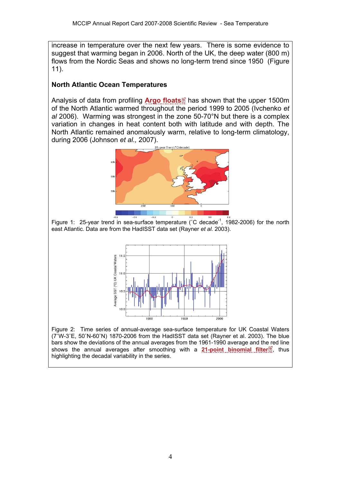increase in temperature over the next few years. There is some evidence to suggest that warming began in 2006. North of the UK, the deep water (800 m) flows from the Nordic Seas and shows no long-term trend since 1950 (Figure 11).

# **North Atlantic Ocean Temperatures**

Analysis of data from profiling **[Argo floats](http://www.mccip.org.uk/arc/2007/glossary.htm#Argo_floats)** has shown that the upper 1500m of the North Atlantic warmed throughout the period 1999 to 2005 (Ivchenko *et al* 2006). Warming was strongest in the zone 50-70°N but there is a complex variation in changes in heat content both with latitude and with depth. The North Atlantic remained anomalously warm, relative to long-term climatology, during 2006 (Johnson *et al.,* 2007).



Figure 1: 25-year trend in sea-surface temperature ( $^{\circ}$ C decade<sup>-1</sup>, 1982-2006) for the north east Atlantic. Data are from the HadISST data set (Rayner *et al.* 2003).



Figure 2: Time series of annual-average sea-surface temperature for UK Coastal Waters (7˚W-3˚E, 50˚N-60˚N) 1870-2006 from the HadISST data set (Rayner et al. 2003). The blue bars show the deviations of the annual averages from the 1961-1990 average and th[e re](http://www.mccip.org.uk/arc/2007/glossary.htm)d line shows the annual averages after smoothing with a **[21-point binomial filter](http://www.mccip.org.uk/arc/2007/glossary.htm)**<sup>[2]</sup>, thus highlighting the decadal variability in the series.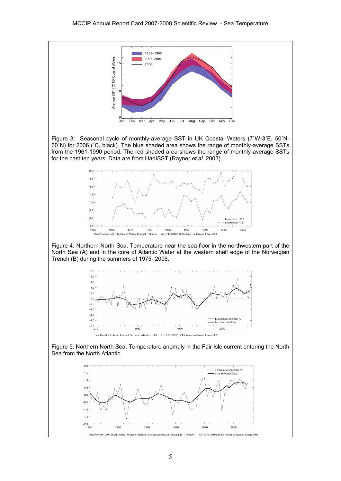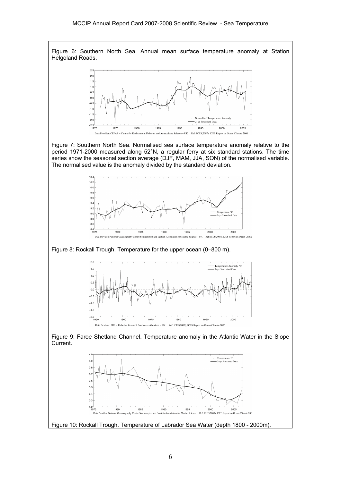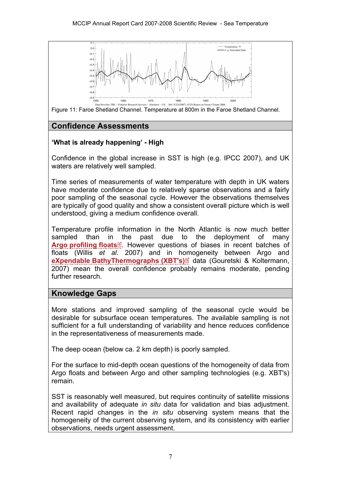

Figure 11: Faroe Shetland Channel. Temperature at 800m in the Faroe Shetland Channel.

# **Confidence Assessments**

## **'What is already happening' - High**

Confidence in the global increase in SST is high (e.g. IPCC 2007), and UK waters are relatively well sampled.

Time series of measurements of water temperature with depth in UK waters have moderate confidence due to relatively sparse observations and a fairly poor sampling of the seasonal cycle. However the observations themselves are typically of good quality and show a consistent overall picture which is well understood, giving a medium confidence overall.

Temperature profile information in the North Atlantic is now much better sampled than in [t](http://www.mccip.org.uk/arc/2007/glossary.htm)he past due to the deployment of many **[Argo profiling floats](http://www.mccip.org.uk/arc/2007/glossary.htm#Argo_floats) E**. However questions of biases in recent batches of floats (Willis *et al.* 2007) and in h[om](http://www.mccip.org.uk/arc/2007/glossary.htm)ogeneity between Argo and **[eXpendable BathyThermographs \(XBT's\)](http://www.mccip.org.uk/arc/2007/glossary.htm#XBTs)** data (Gouretski & Koltermann, 2007) mean the overall confidence probably remains moderate, pending further research.

### **Knowledge Gaps**

More stations and improved sampling of the seasonal cycle would be desirable for subsurface ocean temperatures. The available sampling is not sufficient for a full understanding of variability and hence reduces confidence in the representativeness of measurements made.

The deep ocean (below ca. 2 km depth) is poorly sampled.

For the surface to mid-depth ocean questions of the homogeneity of data from Argo floats and between Argo and other sampling technologies (e.g. XBT's) remain.

SST is reasonably well measured, but requires continuity of satellite missions and availability of adequate *in situ* data for validation and bias adjustment. Recent rapid changes in the *in situ* observing system means that the homogeneity of the current observing system, and its consistency with earlier observations, needs urgent assessment.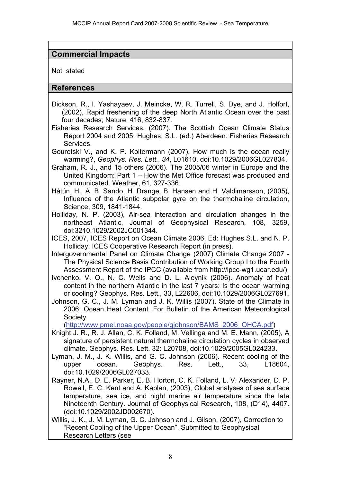# **Commercial Impacts**

Not stated

#### **References**

- Dickson, R., I. Yashayaev, J. Meincke, W. R. Turrell, S. Dye, and J. Holfort, (2002), Rapid freshening of the deep North Atlantic Ocean over the past four decades, Nature, 416, 832-837.
- Fisheries Research Services. (2007). The Scottish Ocean Climate Status Report 2004 and 2005. Hughes, S.L. (ed.) Aberdeen: Fisheries Research Services.
- Gouretski V., and K. P. Koltermann (2007), How much is the ocean really warming?, *Geophys. Res. Lett.*, *34*, L01610, doi:10.1029/2006GL027834.
- Graham, R. J., and 15 others (2006). The 2005/06 winter in Europe and the United Kingdom: Part 1 – How the Met Office forecast was produced and communicated. Weather, 61, 327-336.
- Hátún, H., A. B. Sando, H. Drange, B. Hansen and H. Valdimarsson, (2005), Influence of the Atlantic subpolar gyre on the thermohaline circulation, Science, 309, 1841-1844.
- Holliday, N. P. (2003), Air-sea interaction and circulation changes in the northeast Atlantic, Journal of Geophysical Research, 108, 3259, doi:3210.1029/2002JC001344.

ICES, 2007, ICES Report on Ocean Climate 2006, Ed: Hughes S.L. and N. P. Holliday. ICES Cooperative Research Report (in press).

Intergovernmental Panel on Climate Change (2007) Climate Change 2007 - The Physical Science Basis Contribution of Working Group I to the Fourth Assessment Report of the IPCC (available from http://ipcc-wg1.ucar.edu/)

Ivchenko, V. O., N. C. Wells and D. L. Aleynik (2006). Anomaly of heat content in the northern Atlantic in the last 7 years: Is the ocean warming or cooling? Geophys. Res. Lett., 33, L22606, doi:10.1029/2006GL027691.

Johnson, G. C., J. M. Lyman and J. K. Willis (2007). State of the Climate in 2006: Ocean Heat Content. For Bulletin of the American Meteorological **Society** 

[\(http://www.pmel.noaa.gov/people/gjohnson/BAMS\\_2006\\_OHCA.pdf\)](http://www.pmel.noaa.gov/people/gjohnson/BAMS_2006_OHCA.pdf)

- Knight J. R., R. J. Allan, C. K. Folland, M. Vellinga and M. E. Mann, (2005), A signature of persistent natural thermohaline circulation cycles in observed climate. Geophys. Res. Lett. 32: L20708, doi:10.1029/2005GL024233.
- Lyman, J. M., J. K. Willis, and G. C. Johnson (2006). Recent cooling of the upper ocean. Geophys. Res. Lett., 33, L18604, doi:10.1029/2006GL027033.
- Rayner, N.A., D. E. Parker, E. B. Horton, C. K. Folland, L. V. Alexander, D. P. Rowell, E. C. Kent and A. Kaplan, (2003), Global analyses of sea surface temperature, sea ice, and night marine air temperature since the late Nineteenth Century. Journal of Geophysical Research, 108, (D14), 4407. (doi:10.1029/2002JD002670).
- Willis, J. K., J. M. Lyman, G. C. Johnson and J. Gilson, (2007), Correction to "Recent Cooling of the Upper Ocean". Submitted to Geophysical Research Letters (see